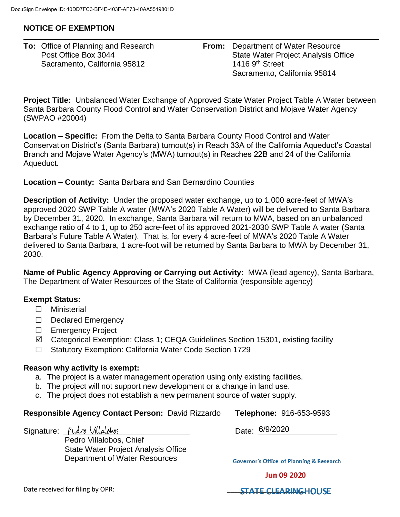## **NOTICE OF EXEMPTION**

| <b>To:</b> Office of Planning and Research |
|--------------------------------------------|
| Post Office Box 3044                       |
| Sacramento, California 95812               |

**From:** Department of Water Resource State Water Project Analysis Office 1416 9<sup>th</sup> Street Sacramento, California 95814

**Project Title:** Unbalanced Water Exchange of Approved State Water Project Table A Water between Santa Barbara County Flood Control and Water Conservation District and Mojave Water Agency (SWPAO #20004)

**Location – Specific:** From the Delta to Santa Barbara County Flood Control and Water Conservation District's (Santa Barbara) turnout(s) in Reach 33A of the California Aqueduct's Coastal Branch and Mojave Water Agency's (MWA) turnout(s) in Reaches 22B and 24 of the California Aqueduct.

**Location – County:** Santa Barbara and San Bernardino Counties

**Description of Activity:** Under the proposed water exchange, up to 1,000 acre-feet of MWA's approved 2020 SWP Table A water (MWA's 2020 Table A Water) will be delivered to Santa Barbara by December 31, 2020. In exchange, Santa Barbara will return to MWA, based on an unbalanced exchange ratio of 4 to 1, up to 250 acre-feet of its approved 2021-2030 SWP Table A water (Santa Barbara's Future Table A Water). That is, for every 4 acre-feet of MWA's 2020 Table A Water delivered to Santa Barbara, 1 acre-foot will be returned by Santa Barbara to MWA by December 31, 2030.

**Name of Public Agency Approving or Carrying out Activity:** MWA (lead agency), Santa Barbara, The Department of Water Resources of the State of California (responsible agency)

## **Exempt Status:**

- ☐ Ministerial
- ☐ Declared Emergency
- ☐ Emergency Project
- Categorical Exemption: Class 1; CEQA Guidelines Section 15301, existing facility
- ☐ Statutory Exemption: California Water Code Section 1729

## **Reason why activity is exempt:**

- a. The project is a water management operation using only existing facilities.
- b. The project will not support new development or a change in land use.
- c. The project does not establish a new permanent source of water supply.

## **Responsible Agency Contact Person:** David Rizzardo **Telephone:** 916-653-9593

Signature: *\_\_Pudro Villalobos* 

Pedro Villalobos, Chief State Water Project Analysis Office Department of Water Resources

Date: 6/9/2020

**Governor's Office of Planning & Research** 

**Jun 09 2020** 

Date received for filing by OPR: <br> **Example 20 ASS ASSESSED AT A STATE CLEARINGHOUSE**